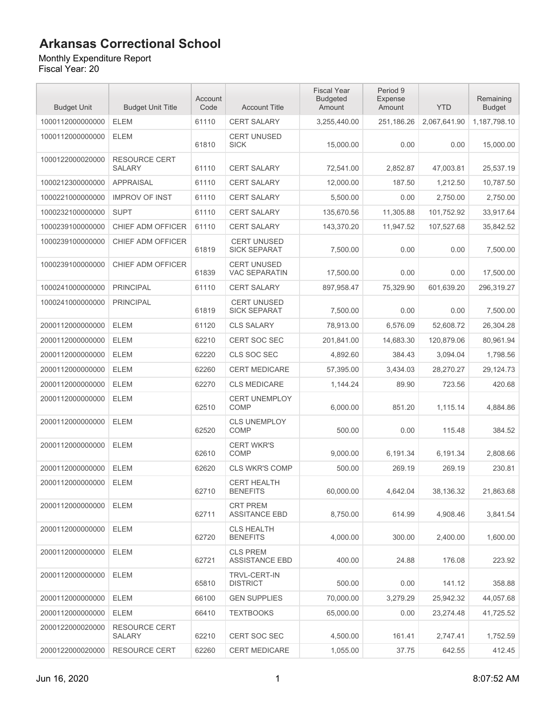#### Monthly Expenditure Report Fiscal Year: 20

Budget Unit Budget Unit Title Account Code | Account Title Fiscal Year Budgeted Amount Period 9 Expense Amount YTD 1000112000000000 ELEM 61110 CERT SALARY 3,255,440.00 251,186.26 2,067,641.90 1,187,798.10 1000112000000000 ELEM 61810 CERT UNUSED SICK 15,000.00 0.00 0.00 15,000.00 1000122000020000 RESOURCE CERT SALARY 61110 CERT SALARY 72,541.00 2,852.87 47,003.81 25,537.19 1000212300000000 APPRAISAL 61110 CERT SALARY 12,000.00 187.50 1,212.50 10,787.50 1000221000000000 IMPROV OF INST 61110 CERT SALARY 5,500.00 0.00 2,750.00 2,750.00 1000232100000000 SUPT 61110 CERT SALARY 135,670.56 11,305.88 101,752.92 33,917.64 1000239100000000 CHIEF ADM OFFICER 61110 CERT SALARY 143,370.20 11,947.52 107,527.68 35,842.52 1000239100000000 CHIEF ADM OFFICER 61819 CERT UNUSED SICK SEPARAT 7.500.00 0.00 0.00 7.500.00 1000239100000000 CHIEF ADM OFFICER 61839 CERT UNUSED VAC SEPARATIN 17,500.00 0.00 0.00 17,500.00 1000241000000000 PRINCIPAL 61110 CERT SALARY 897,958.47 75,329.90 601,639.20 296,319.27 1000241000000000 PRINCIPAL 61819 CERT UNUSED SICK SEPARAT 7,500.00 0.00 0.00 7,500.00 2000112000000000 ELEM 61120 CLS SALARY 78,913.00 6,576.09 52,608.72 26,304.28 2000112000000000 ELEM 62210 CERT SOC SEC 201,841.00 14,683.30 120,879.06 80,961.94 2000112000000000 ELEM 62220 CLS SOC SEC 4,892.60 384.43 3,094.04 1,798.56 2000112000000000 ELEM 62260 CERT MEDICARE 57,395.00 3,434.03 28,270.27 29,124.73 2000112000000000 ELEM 62270 CLS MEDICARE 1,144.24 89.90 723.56 420.68 2000112000000000 ELEM 62510 CERT UNEMPLOY COMP 6,000.00 851.20 1,115.14 4,884.86 2000112000000000 ELEM 62520 CLS UNEMPLOY COMP 500.00 0.00 115.48 384.52 2000112000000000 ELEM 62610 CERT WKR'S<br>COMP COMP 9,000.00 6,191.34 6,191.34 2,808.66 2000112000000000 ELEM 62620 CLS WKR'S COMP 500.00 269.19 269.19 230.81 2000112000000000 ELEM 62710 CERT HEALTH BENEFITS 60,000.00 4,642.04 38,136.32 21,863.68 2000112000000000 ELEM 62711 CRT PREM ASSITANCE EBD | 8,750.00 | 614.99 | 4.908.46 | 3.841.54 2000112000000000 ELEM 62720 CLS HEALTH BENEFITS 4,000.00 300.00 2,400.00 1,600.00 2000112000000000 ELEM 62721 CLS PREM ASSISTANCE EBD 400.00 24.88 176.08 223.92 2000112000000000 ELEM 65810 TRVL-CERT-IN DISTRICT 500.00 0.00 141.12 358.88 2000112000000000 ELEM 66100 GEN SUPPLIES 70,000.00 3,279.29 25,942.32 44,057.68

Remaining Budget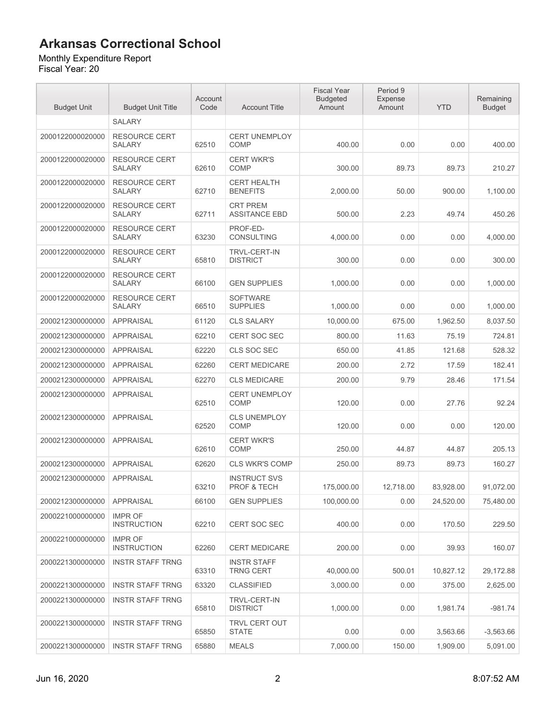#### Monthly Expenditure Report

| <b>Budget Unit</b> | <b>Budget Unit Title</b>              | Account<br>Code | <b>Account Title</b>                          | <b>Fiscal Year</b><br><b>Budgeted</b><br>Amount | Period 9<br>Expense<br>Amount | <b>YTD</b> | Remaining<br><b>Budget</b> |
|--------------------|---------------------------------------|-----------------|-----------------------------------------------|-------------------------------------------------|-------------------------------|------------|----------------------------|
|                    | <b>SALARY</b>                         |                 |                                               |                                                 |                               |            |                            |
| 2000122000020000   | <b>RESOURCE CERT</b><br><b>SALARY</b> | 62510           | <b>CERT UNEMPLOY</b><br><b>COMP</b>           | 400.00                                          | 0.00                          | 0.00       | 400.00                     |
| 2000122000020000   | <b>RESOURCE CERT</b><br><b>SALARY</b> | 62610           | <b>CERT WKR'S</b><br><b>COMP</b>              | 300.00                                          | 89.73                         | 89.73      | 210.27                     |
| 2000122000020000   | <b>RESOURCE CERT</b><br>SALARY        | 62710           | <b>CERT HEALTH</b><br><b>BENEFITS</b>         | 2,000.00                                        | 50.00                         | 900.00     | 1,100.00                   |
| 2000122000020000   | <b>RESOURCE CERT</b><br><b>SALARY</b> | 62711           | <b>CRT PREM</b><br><b>ASSITANCE EBD</b>       | 500.00                                          | 2.23                          | 49.74      | 450.26                     |
| 2000122000020000   | <b>RESOURCE CERT</b><br><b>SALARY</b> | 63230           | PROF-ED-<br><b>CONSULTING</b>                 | 4,000.00                                        | 0.00                          | 0.00       | 4,000.00                   |
| 2000122000020000   | <b>RESOURCE CERT</b><br><b>SALARY</b> | 65810           | <b>TRVL-CERT-IN</b><br><b>DISTRICT</b>        | 300.00                                          | 0.00                          | 0.00       | 300.00                     |
| 2000122000020000   | <b>RESOURCE CERT</b><br><b>SALARY</b> | 66100           | <b>GEN SUPPLIES</b>                           | 1,000.00                                        | 0.00                          | 0.00       | 1,000.00                   |
| 2000122000020000   | RESOURCE CERT<br><b>SALARY</b>        | 66510           | <b>SOFTWARE</b><br><b>SUPPLIES</b>            | 1,000.00                                        | 0.00                          | 0.00       | 1,000.00                   |
| 2000212300000000   | <b>APPRAISAL</b>                      | 61120           | <b>CLS SALARY</b>                             | 10,000.00                                       | 675.00                        | 1,962.50   | 8,037.50                   |
| 2000212300000000   | <b>APPRAISAL</b>                      | 62210           | <b>CERT SOC SEC</b>                           | 800.00                                          | 11.63                         | 75.19      | 724.81                     |
| 2000212300000000   | <b>APPRAISAL</b>                      | 62220           | CLS SOC SEC                                   | 650.00                                          | 41.85                         | 121.68     | 528.32                     |
| 2000212300000000   | <b>APPRAISAL</b>                      | 62260           | <b>CERT MEDICARE</b>                          | 200.00                                          | 2.72                          | 17.59      | 182.41                     |
| 2000212300000000   | <b>APPRAISAL</b>                      | 62270           | <b>CLS MEDICARE</b>                           | 200.00                                          | 9.79                          | 28.46      | 171.54                     |
| 2000212300000000   | <b>APPRAISAL</b>                      | 62510           | <b>CERT UNEMPLOY</b><br>COMP                  | 120.00                                          | 0.00                          | 27.76      | 92.24                      |
| 2000212300000000   | <b>APPRAISAL</b>                      | 62520           | <b>CLS UNEMPLOY</b><br><b>COMP</b>            | 120.00                                          | 0.00                          | 0.00       | 120.00                     |
| 2000212300000000   | <b>APPRAISAL</b>                      | 62610           | <b>CERT WKR'S</b><br><b>COMP</b>              | 250.00                                          | 44.87                         | 44.87      | 205.13                     |
| 2000212300000000   | <b>APPRAISAL</b>                      | 62620           | <b>CLS WKR'S COMP</b>                         | 250.00                                          | 89.73                         | 89.73      | 160.27                     |
| 2000212300000000   | <b>APPRAISAL</b>                      | 63210           | <b>INSTRUCT SVS</b><br><b>PROF &amp; TECH</b> | 175.000.00                                      | 12,718.00                     | 83,928.00  | 91,072.00                  |
| 2000212300000000   | <b>APPRAISAL</b>                      | 66100           | <b>GEN SUPPLIES</b>                           | 100.000.00                                      | 0.00                          | 24,520.00  | 75,480.00                  |
| 2000221000000000   | <b>IMPR OF</b><br><b>INSTRUCTION</b>  | 62210           | <b>CERT SOC SEC</b>                           | 400.00                                          | 0.00                          | 170.50     | 229.50                     |
| 2000221000000000   | <b>IMPR OF</b><br><b>INSTRUCTION</b>  | 62260           | <b>CERT MEDICARE</b>                          | 200.00                                          | 0.00                          | 39.93      | 160.07                     |
| 2000221300000000   | <b>INSTR STAFF TRNG</b>               | 63310           | <b>INSTR STAFF</b><br><b>TRNG CERT</b>        | 40,000.00                                       | 500.01                        | 10,827.12  | 29,172.88                  |
| 2000221300000000   | <b>INSTR STAFF TRNG</b>               | 63320           | <b>CLASSIFIED</b>                             | 3,000.00                                        | 0.00                          | 375.00     | 2,625.00                   |
| 2000221300000000   | <b>INSTR STAFF TRNG</b>               | 65810           | <b>TRVL-CERT-IN</b><br><b>DISTRICT</b>        | 1.000.00                                        | 0.00                          | 1,981.74   | $-981.74$                  |
| 2000221300000000   | <b>INSTR STAFF TRNG</b>               | 65850           | TRVL CERT OUT<br><b>STATE</b>                 | 0.00                                            | 0.00                          | 3,563.66   | $-3,563.66$                |
| 2000221300000000   | <b>INSTR STAFF TRNG</b>               | 65880           | <b>MEALS</b>                                  | 7,000.00                                        | 150.00                        | 1,909.00   | 5,091.00                   |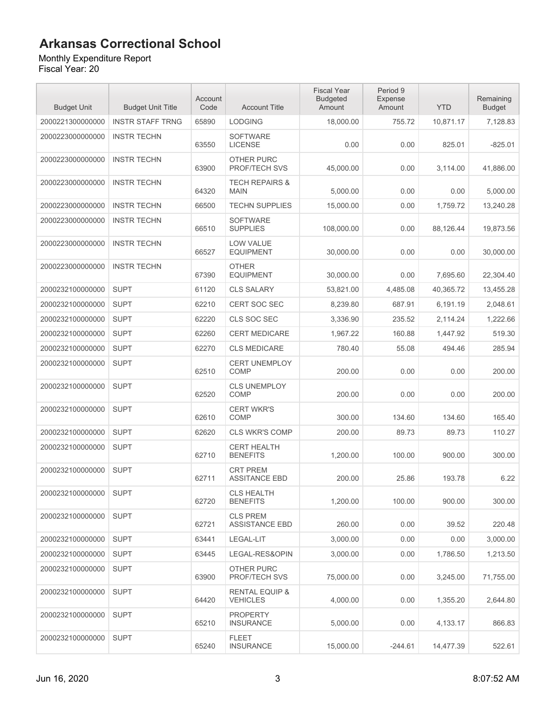#### Monthly Expenditure Report

| <b>Budget Unit</b> | <b>Budget Unit Title</b> | Account<br>Code | <b>Account Title</b>                         | <b>Fiscal Year</b><br><b>Budgeted</b><br>Amount | Period 9<br>Expense<br>Amount | <b>YTD</b> | Remaining<br><b>Budget</b> |
|--------------------|--------------------------|-----------------|----------------------------------------------|-------------------------------------------------|-------------------------------|------------|----------------------------|
| 2000221300000000   | <b>INSTR STAFF TRNG</b>  | 65890           | <b>LODGING</b>                               | 18,000.00                                       | 755.72                        | 10,871.17  | 7,128.83                   |
| 2000223000000000   | <b>INSTR TECHN</b>       | 63550           | <b>SOFTWARE</b><br><b>LICENSE</b>            | 0.00                                            | 0.00                          | 825.01     | $-825.01$                  |
| 2000223000000000   | <b>INSTR TECHN</b>       | 63900           | OTHER PURC<br><b>PROF/TECH SVS</b>           | 45,000.00                                       | 0.00                          | 3,114.00   | 41,886.00                  |
| 2000223000000000   | <b>INSTR TECHN</b>       | 64320           | <b>TECH REPAIRS &amp;</b><br><b>MAIN</b>     | 5,000.00                                        | 0.00                          | 0.00       | 5,000.00                   |
| 2000223000000000   | <b>INSTR TECHN</b>       | 66500           | <b>TECHN SUPPLIES</b>                        | 15,000.00                                       | 0.00                          | 1,759.72   | 13,240.28                  |
| 2000223000000000   | <b>INSTR TECHN</b>       | 66510           | <b>SOFTWARE</b><br><b>SUPPLIES</b>           | 108,000.00                                      | 0.00                          | 88,126.44  | 19,873.56                  |
| 2000223000000000   | <b>INSTR TECHN</b>       | 66527           | <b>LOW VALUE</b><br><b>EQUIPMENT</b>         | 30,000.00                                       | 0.00                          | 0.00       | 30,000.00                  |
| 2000223000000000   | <b>INSTR TECHN</b>       | 67390           | <b>OTHER</b><br><b>EQUIPMENT</b>             | 30,000.00                                       | 0.00                          | 7,695.60   | 22,304.40                  |
| 2000232100000000   | <b>SUPT</b>              | 61120           | <b>CLS SALARY</b>                            | 53,821.00                                       | 4,485.08                      | 40,365.72  | 13,455.28                  |
| 2000232100000000   | <b>SUPT</b>              | 62210           | CERT SOC SEC                                 | 8,239.80                                        | 687.91                        | 6,191.19   | 2.048.61                   |
| 2000232100000000   | <b>SUPT</b>              | 62220           | CLS SOC SEC                                  | 3,336.90                                        | 235.52                        | 2,114.24   | 1.222.66                   |
| 2000232100000000   | <b>SUPT</b>              | 62260           | <b>CERT MEDICARE</b>                         | 1,967.22                                        | 160.88                        | 1,447.92   | 519.30                     |
| 2000232100000000   | <b>SUPT</b>              | 62270           | <b>CLS MEDICARE</b>                          | 780.40                                          | 55.08                         | 494.46     | 285.94                     |
| 2000232100000000   | <b>SUPT</b>              | 62510           | <b>CERT UNEMPLOY</b><br>COMP                 | 200.00                                          | 0.00                          | 0.00       | 200.00                     |
| 2000232100000000   | <b>SUPT</b>              | 62520           | <b>CLS UNEMPLOY</b><br>COMP                  | 200.00                                          | 0.00                          | 0.00       | 200.00                     |
| 2000232100000000   | <b>SUPT</b>              | 62610           | <b>CERT WKR'S</b><br><b>COMP</b>             | 300.00                                          | 134.60                        | 134.60     | 165.40                     |
| 2000232100000000   | <b>SUPT</b>              | 62620           | <b>CLS WKR'S COMP</b>                        | 200.00                                          | 89.73                         | 89.73      | 110.27                     |
| 2000232100000000   | <b>SUPT</b>              | 62710           | <b>CERT HEALTH</b><br><b>BENEFITS</b>        | 1,200.00                                        | 100.00                        | 900.00     | 300.00                     |
| 2000232100000000   | <b>SUPT</b>              | 62711           | <b>CRT PREM</b><br><b>ASSITANCE EBD</b>      | 200.00                                          | 25.86                         | 193.78     | 6.22                       |
| 2000232100000000   | <b>SUPT</b>              | 62720           | <b>CLS HEALTH</b><br><b>BENEFITS</b>         | 1,200.00                                        | 100.00                        | 900.00     | 300.00                     |
| 2000232100000000   | <b>SUPT</b>              | 62721           | <b>CLS PREM</b><br><b>ASSISTANCE EBD</b>     | 260.00                                          | 0.00                          | 39.52      | 220.48                     |
| 2000232100000000   | <b>SUPT</b>              | 63441           | LEGAL-LIT                                    | 3,000.00                                        | 0.00                          | 0.00       | 3,000.00                   |
| 2000232100000000   | <b>SUPT</b>              | 63445           | LEGAL-RES&OPIN                               | 3,000.00                                        | 0.00                          | 1,786.50   | 1,213.50                   |
| 2000232100000000   | <b>SUPT</b>              | 63900           | OTHER PURC<br><b>PROF/TECH SVS</b>           | 75,000.00                                       | 0.00                          | 3,245.00   | 71,755.00                  |
| 2000232100000000   | <b>SUPT</b>              | 64420           | <b>RENTAL EQUIP &amp;</b><br><b>VEHICLES</b> | 4.000.00                                        | 0.00                          | 1,355.20   | 2,644.80                   |
| 2000232100000000   | <b>SUPT</b>              | 65210           | <b>PROPERTY</b><br><b>INSURANCE</b>          | 5,000.00                                        | 0.00                          | 4,133.17   | 866.83                     |
| 2000232100000000   | <b>SUPT</b>              | 65240           | FLEET<br><b>INSURANCE</b>                    | 15,000.00                                       | $-244.61$                     | 14,477.39  | 522.61                     |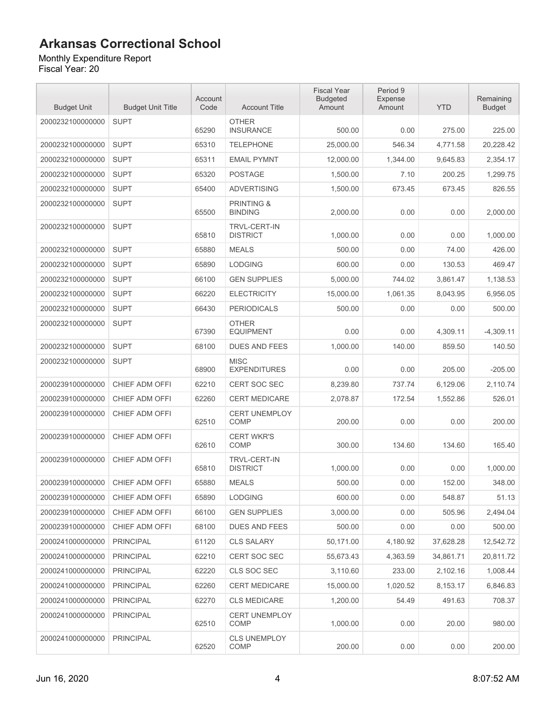Monthly Expenditure Report Fiscal Year: 20

| <b>Budget Unit</b> | <b>Budget Unit Title</b> | Account<br>Code | <b>Account Title</b>                    | <b>Fiscal Year</b><br><b>Budgeted</b><br>Amount | Period 9<br>Expense<br>Amount | <b>YTD</b> | Remaining<br><b>Budget</b> |
|--------------------|--------------------------|-----------------|-----------------------------------------|-------------------------------------------------|-------------------------------|------------|----------------------------|
| 2000232100000000   | <b>SUPT</b>              | 65290           | <b>OTHER</b><br><b>INSURANCE</b>        | 500.00                                          | 0.00                          | 275.00     | 225.00                     |
| 2000232100000000   | <b>SUPT</b>              | 65310           | <b>TELEPHONE</b>                        | 25,000.00                                       | 546.34                        | 4,771.58   | 20,228.42                  |
| 2000232100000000   | <b>SUPT</b>              | 65311           | <b>EMAIL PYMNT</b>                      | 12,000.00                                       | 1,344.00                      | 9,645.83   | 2,354.17                   |
| 2000232100000000   | <b>SUPT</b>              | 65320           | <b>POSTAGE</b>                          | 1,500.00                                        | 7.10                          | 200.25     | 1,299.75                   |
| 2000232100000000   | <b>SUPT</b>              | 65400           | <b>ADVERTISING</b>                      | 1.500.00                                        | 673.45                        | 673.45     | 826.55                     |
| 2000232100000000   | <b>SUPT</b>              | 65500           | <b>PRINTING &amp;</b><br><b>BINDING</b> | 2,000.00                                        | 0.00                          | 0.00       | 2,000.00                   |
| 2000232100000000   | <b>SUPT</b>              | 65810           | TRVL-CERT-IN<br><b>DISTRICT</b>         | 1,000.00                                        | 0.00                          | 0.00       | 1,000.00                   |
| 2000232100000000   | <b>SUPT</b>              | 65880           | <b>MEALS</b>                            | 500.00                                          | 0.00                          | 74.00      | 426.00                     |
| 2000232100000000   | <b>SUPT</b>              | 65890           | <b>LODGING</b>                          | 600.00                                          | 0.00                          | 130.53     | 469.47                     |
| 2000232100000000   | <b>SUPT</b>              | 66100           | <b>GEN SUPPLIES</b>                     | 5,000.00                                        | 744.02                        | 3,861.47   | 1,138.53                   |
| 2000232100000000   | <b>SUPT</b>              | 66220           | <b>ELECTRICITY</b>                      | 15,000.00                                       | 1,061.35                      | 8,043.95   | 6,956.05                   |
| 2000232100000000   | <b>SUPT</b>              | 66430           | <b>PERIODICALS</b>                      | 500.00                                          | 0.00                          | 0.00       | 500.00                     |
| 2000232100000000   | <b>SUPT</b>              | 67390           | <b>OTHER</b><br><b>EQUIPMENT</b>        | 0.00                                            | 0.00                          | 4,309.11   | $-4,309.11$                |
| 2000232100000000   | <b>SUPT</b>              | 68100           | <b>DUES AND FEES</b>                    | 1,000.00                                        | 140.00                        | 859.50     | 140.50                     |
| 2000232100000000   | <b>SUPT</b>              | 68900           | <b>MISC</b><br><b>EXPENDITURES</b>      | 0.00                                            | 0.00                          | 205.00     | $-205.00$                  |
| 2000239100000000   | CHIEF ADM OFFI           | 62210           | <b>CERT SOC SEC</b>                     | 8,239.80                                        | 737.74                        | 6,129.06   | 2,110.74                   |
| 2000239100000000   | CHIEF ADM OFFI           | 62260           | CERT MEDICARE                           | 2,078.87                                        | 172.54                        | 1,552.86   | 526.01                     |
| 2000239100000000   | CHIEF ADM OFFI           | 62510           | <b>CERT UNEMPLOY</b><br><b>COMP</b>     | 200.00                                          | 0.00                          | 0.00       | 200.00                     |
| 2000239100000000   | CHIEF ADM OFFI           | 62610           | <b>CERT WKR'S</b><br>COMP               | 300.00                                          | 134.60                        | 134.60     | 165.40                     |
| 2000239100000000   | CHIEF ADM OFFI           | 65810           | <b>TRVL-CERT-IN</b><br><b>DISTRICT</b>  | 1,000.00                                        | 0.00                          | 0.00       | 1.000.00                   |
| 2000239100000000   | CHIEF ADM OFFI           | 65880           | <b>MEALS</b>                            | 500.00                                          | 0.00                          | 152.00     | 348.00                     |
| 2000239100000000   | CHIEF ADM OFFI           | 65890           | <b>LODGING</b>                          | 600.00                                          | 0.00                          | 548.87     | 51.13                      |
| 2000239100000000   | CHIEF ADM OFFI           | 66100           | <b>GEN SUPPLIES</b>                     | 3,000.00                                        | 0.00                          | 505.96     | 2,494.04                   |
| 2000239100000000   | CHIEF ADM OFFI           | 68100           | <b>DUES AND FEES</b>                    | 500.00                                          | 0.00                          | 0.00       | 500.00                     |
| 2000241000000000   | <b>PRINCIPAL</b>         | 61120           | <b>CLS SALARY</b>                       | 50,171.00                                       | 4,180.92                      | 37,628.28  | 12,542.72                  |
| 2000241000000000   | <b>PRINCIPAL</b>         | 62210           | CERT SOC SEC                            | 55,673.43                                       | 4,363.59                      | 34,861.71  | 20,811.72                  |
| 2000241000000000   | <b>PRINCIPAL</b>         | 62220           | CLS SOC SEC                             | 3,110.60                                        | 233.00                        | 2,102.16   | 1,008.44                   |
| 2000241000000000   | <b>PRINCIPAL</b>         | 62260           | <b>CERT MEDICARE</b>                    | 15,000.00                                       | 1,020.52                      | 8,153.17   | 6,846.83                   |
| 2000241000000000   | <b>PRINCIPAL</b>         | 62270           | <b>CLS MEDICARE</b>                     | 1.200.00                                        | 54.49                         | 491.63     | 708.37                     |
| 2000241000000000   | <b>PRINCIPAL</b>         | 62510           | <b>CERT UNEMPLOY</b><br>COMP            | 1,000.00                                        | 0.00                          | 20.00      | 980.00                     |
| 2000241000000000   | <b>PRINCIPAL</b>         | 62520           | <b>CLS UNEMPLOY</b><br>COMP             | 200.00                                          | 0.00                          | 0.00       | 200.00                     |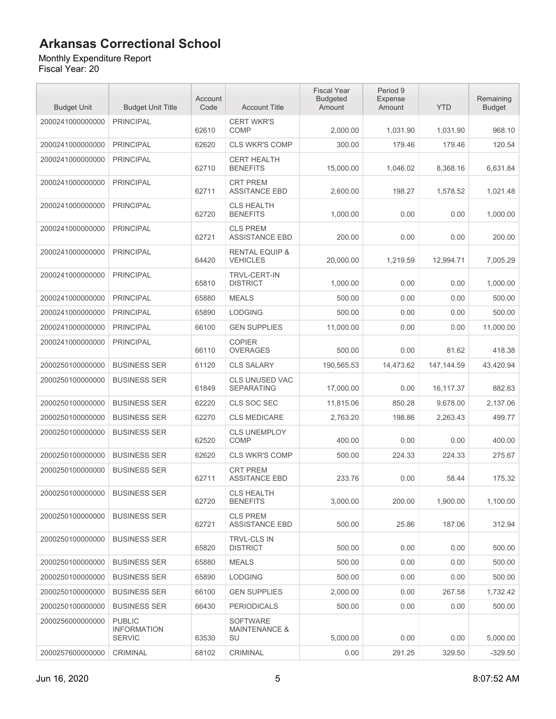#### Monthly Expenditure Report

| <b>Budget Unit</b> | <b>Budget Unit Title</b>                             | Account<br>Code | <b>Account Title</b>                              | <b>Fiscal Year</b><br><b>Budgeted</b><br>Amount | Period 9<br><b>Expense</b><br>Amount | <b>YTD</b>  | Remaining<br><b>Budget</b> |
|--------------------|------------------------------------------------------|-----------------|---------------------------------------------------|-------------------------------------------------|--------------------------------------|-------------|----------------------------|
| 2000241000000000   | <b>PRINCIPAL</b>                                     | 62610           | <b>CERT WKR'S</b><br><b>COMP</b>                  | 2,000.00                                        | 1,031.90                             | 1,031.90    | 968.10                     |
| 2000241000000000   | <b>PRINCIPAL</b>                                     | 62620           | <b>CLS WKR'S COMP</b>                             | 300.00                                          | 179.46                               | 179.46      | 120.54                     |
| 2000241000000000   | <b>PRINCIPAL</b>                                     | 62710           | <b>CERT HEALTH</b><br><b>BENEFITS</b>             | 15,000.00                                       | 1,046.02                             | 8,368.16    | 6,631.84                   |
| 2000241000000000   | <b>PRINCIPAL</b>                                     | 62711           | <b>CRT PREM</b><br><b>ASSITANCE EBD</b>           | 2,600.00                                        | 198.27                               | 1,578.52    | 1,021.48                   |
| 2000241000000000   | <b>PRINCIPAL</b>                                     | 62720           | <b>CLS HEALTH</b><br><b>BENEFITS</b>              | 1,000.00                                        | 0.00                                 | 0.00        | 1,000.00                   |
| 2000241000000000   | <b>PRINCIPAL</b>                                     | 62721           | <b>CLS PREM</b><br><b>ASSISTANCE EBD</b>          | 200.00                                          | 0.00                                 | 0.00        | 200.00                     |
| 2000241000000000   | <b>PRINCIPAL</b>                                     | 64420           | <b>RENTAL EQUIP &amp;</b><br><b>VEHICLES</b>      | 20,000.00                                       | 1,219.59                             | 12,994.71   | 7,005.29                   |
| 2000241000000000   | <b>PRINCIPAL</b>                                     | 65810           | <b>TRVL-CERT-IN</b><br><b>DISTRICT</b>            | 1,000.00                                        | 0.00                                 | 0.00        | 1,000.00                   |
| 2000241000000000   | <b>PRINCIPAL</b>                                     | 65880           | <b>MEALS</b>                                      | 500.00                                          | 0.00                                 | 0.00        | 500.00                     |
| 2000241000000000   | <b>PRINCIPAL</b>                                     | 65890           | <b>LODGING</b>                                    | 500.00                                          | 0.00                                 | 0.00        | 500.00                     |
| 2000241000000000   | <b>PRINCIPAL</b>                                     | 66100           | <b>GEN SUPPLIES</b>                               | 11.000.00                                       | 0.00                                 | 0.00        | 11,000.00                  |
| 2000241000000000   | <b>PRINCIPAL</b>                                     | 66110           | <b>COPIER</b><br><b>OVERAGES</b>                  | 500.00                                          | 0.00                                 | 81.62       | 418.38                     |
| 2000250100000000   | <b>BUSINESS SER</b>                                  | 61120           | <b>CLS SALARY</b>                                 | 190,565.53                                      | 14,473.62                            | 147, 144.59 | 43,420.94                  |
| 2000250100000000   | <b>BUSINESS SER</b>                                  | 61849           | <b>CLS UNUSED VAC</b><br><b>SEPARATING</b>        | 17,000.00                                       | 0.00                                 | 16,117.37   | 882.63                     |
| 2000250100000000   | <b>BUSINESS SER</b>                                  | 62220           | CLS SOC SEC                                       | 11,815.06                                       | 850.28                               | 9,678.00    | 2,137.06                   |
| 2000250100000000   | <b>BUSINESS SER</b>                                  | 62270           | <b>CLS MEDICARE</b>                               | 2,763.20                                        | 198.86                               | 2,263.43    | 499.77                     |
| 2000250100000000   | <b>BUSINESS SER</b>                                  | 62520           | <b>CLS UNEMPLOY</b><br>COMP                       | 400.00                                          | 0.00                                 | 0.00        | 400.00                     |
| 2000250100000000   | <b>BUSINESS SER</b>                                  | 62620           | <b>CLS WKR'S COMP</b>                             | 500.00                                          | 224.33                               | 224.33      | 275.67                     |
| 2000250100000000   | <b>BUSINESS SER</b>                                  | 62711           | <b>CRT PREM</b><br><b>ASSITANCE EBD</b>           | 233.76                                          | 0.00                                 | 58.44       | 175.32                     |
| 2000250100000000   | <b>BUSINESS SER</b>                                  | 62720           | <b>CLS HEALTH</b><br><b>BENEFITS</b>              | 3,000.00                                        | 200.00                               | 1,900.00    | 1,100.00                   |
| 2000250100000000   | <b>BUSINESS SER</b>                                  | 62721           | <b>CLS PREM</b><br><b>ASSISTANCE EBD</b>          | 500.00                                          | 25.86                                | 187.06      | 312.94                     |
| 2000250100000000   | <b>BUSINESS SER</b>                                  | 65820           | TRVL-CLS IN<br><b>DISTRICT</b>                    | 500.00                                          | 0.00                                 | 0.00        | 500.00                     |
| 2000250100000000   | <b>BUSINESS SER</b>                                  | 65880           | <b>MEALS</b>                                      | 500.00                                          | 0.00                                 | 0.00        | 500.00                     |
| 2000250100000000   | <b>BUSINESS SER</b>                                  | 65890           | <b>LODGING</b>                                    | 500.00                                          | 0.00                                 | 0.00        | 500.00                     |
| 2000250100000000   | <b>BUSINESS SER</b>                                  | 66100           | <b>GEN SUPPLIES</b>                               | 2,000.00                                        | 0.00                                 | 267.58      | 1,732.42                   |
| 2000250100000000   | <b>BUSINESS SER</b>                                  | 66430           | <b>PERIODICALS</b>                                | 500.00                                          | 0.00                                 | 0.00        | 500.00                     |
| 2000256000000000   | <b>PUBLIC</b><br><b>INFORMATION</b><br><b>SERVIC</b> | 63530           | <b>SOFTWARE</b><br><b>MAINTENANCE &amp;</b><br>SU | 5,000.00                                        | 0.00                                 | 0.00        | 5,000.00                   |
| 2000257600000000   | CRIMINAL                                             | 68102           | CRIMINAL                                          | 0.00                                            | 291.25                               | 329.50      | $-329.50$                  |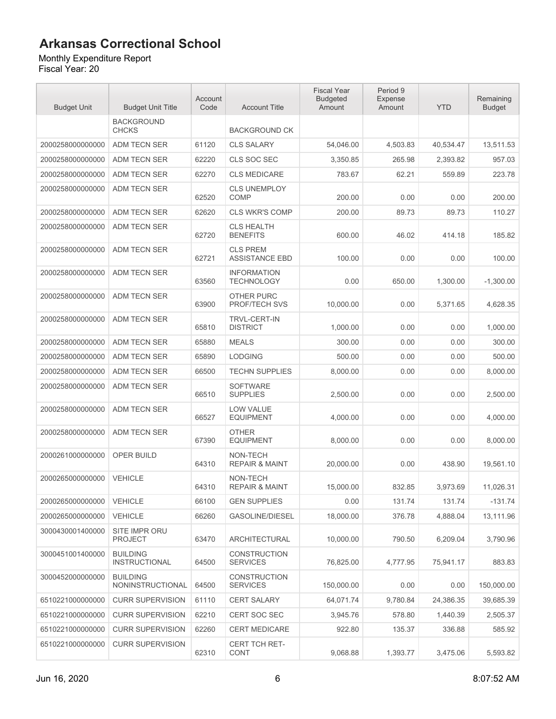#### Monthly Expenditure Report

| <b>Budget Unit</b> | <b>Budget Unit Title</b>                   | Account<br>Code | <b>Account Title</b>                     | <b>Fiscal Year</b><br><b>Budgeted</b><br>Amount | Period 9<br>Expense<br>Amount | <b>YTD</b> | Remaining<br><b>Budget</b> |
|--------------------|--------------------------------------------|-----------------|------------------------------------------|-------------------------------------------------|-------------------------------|------------|----------------------------|
|                    | <b>BACKGROUND</b><br><b>CHCKS</b>          |                 | <b>BACKGROUND CK</b>                     |                                                 |                               |            |                            |
| 2000258000000000   | ADM TECN SER                               | 61120           | <b>CLS SALARY</b>                        | 54.046.00                                       | 4,503.83                      | 40,534.47  | 13,511.53                  |
| 2000258000000000   | ADM TECN SER                               | 62220           | <b>CLS SOC SEC</b>                       | 3,350.85                                        | 265.98                        | 2,393.82   | 957.03                     |
| 2000258000000000   | ADM TECN SER                               | 62270           | <b>CLS MEDICARE</b>                      | 783.67                                          | 62.21                         | 559.89     | 223.78                     |
| 2000258000000000   | ADM TECN SER                               | 62520           | <b>CLS UNEMPLOY</b><br><b>COMP</b>       | 200.00                                          | 0.00                          | 0.00       | 200.00                     |
| 2000258000000000   | <b>ADM TECN SER</b>                        | 62620           | <b>CLS WKR'S COMP</b>                    | 200.00                                          | 89.73                         | 89.73      | 110.27                     |
| 2000258000000000   | <b>ADM TECN SER</b>                        | 62720           | <b>CLS HEALTH</b><br><b>BENEFITS</b>     | 600.00                                          | 46.02                         | 414.18     | 185.82                     |
| 2000258000000000   | ADM TECN SER                               | 62721           | <b>CLS PREM</b><br><b>ASSISTANCE EBD</b> | 100.00                                          | 0.00                          | 0.00       | 100.00                     |
| 2000258000000000   | ADM TECN SER                               | 63560           | <b>INFORMATION</b><br><b>TECHNOLOGY</b>  | 0.00                                            | 650.00                        | 1.300.00   | $-1,300.00$                |
| 2000258000000000   | ADM TECN SER                               | 63900           | OTHER PURC<br><b>PROF/TECH SVS</b>       | 10,000.00                                       | 0.00                          | 5,371.65   | 4,628.35                   |
| 2000258000000000   | ADM TECN SER                               | 65810           | <b>TRVL-CERT-IN</b><br><b>DISTRICT</b>   | 1,000.00                                        | 0.00                          | 0.00       | 1,000.00                   |
| 2000258000000000   | <b>ADM TECN SER</b>                        | 65880           | <b>MEALS</b>                             | 300.00                                          | 0.00                          | 0.00       | 300.00                     |
| 2000258000000000   | ADM TECN SER                               | 65890           | <b>LODGING</b>                           | 500.00                                          | 0.00                          | 0.00       | 500.00                     |
| 2000258000000000   | ADM TECN SER                               | 66500           | <b>TECHN SUPPLIES</b>                    | 8,000.00                                        | 0.00                          | 0.00       | 8,000.00                   |
| 2000258000000000   | ADM TECN SER                               | 66510           | <b>SOFTWARE</b><br><b>SUPPLIES</b>       | 2,500.00                                        | 0.00                          | 0.00       | 2,500.00                   |
| 2000258000000000   | ADM TECN SER                               | 66527           | <b>LOW VALUE</b><br><b>EQUIPMENT</b>     | 4,000.00                                        | 0.00                          | 0.00       | 4,000.00                   |
| 2000258000000000   | <b>ADM TECN SER</b>                        | 67390           | <b>OTHER</b><br><b>EQUIPMENT</b>         | 8.000.00                                        | 0.00                          | 0.00       | 8,000.00                   |
| 2000261000000000   | OPER BUILD                                 | 64310           | NON-TECH<br><b>REPAIR &amp; MAINT</b>    | 20,000.00                                       | 0.00                          | 438.90     | 19,561.10                  |
| 2000265000000000   | <b>VEHICLE</b>                             | 64310           | NON-TECH<br><b>REPAIR &amp; MAINT</b>    | 15,000.00                                       | 832.85                        | 3,973.69   | 11,026.31                  |
| 2000265000000000   | VEHICLE                                    | 66100           | <b>GEN SUPPLIES</b>                      | 0.00                                            | 131.74                        | 131.74     | $-131.74$                  |
| 2000265000000000   | <b>VEHICLE</b>                             | 66260           | <b>GASOLINE/DIESEL</b>                   | 18,000.00                                       | 376.78                        | 4,888.04   | 13,111.96                  |
| 3000430001400000   | SITE IMPR ORU<br><b>PROJECT</b>            | 63470           | <b>ARCHITECTURAL</b>                     | 10,000.00                                       | 790.50                        | 6,209.04   | 3,790.96                   |
| 3000451001400000   | <b>BUILDING</b><br><b>INSTRUCTIONAL</b>    | 64500           | <b>CONSTRUCTION</b><br><b>SERVICES</b>   | 76,825.00                                       | 4,777.95                      | 75,941.17  | 883.83                     |
| 3000452000000000   | <b>BUILDING</b><br><b>NONINSTRUCTIONAL</b> | 64500           | <b>CONSTRUCTION</b><br><b>SERVICES</b>   | 150,000.00                                      | 0.00                          | 0.00       | 150,000.00                 |
| 6510221000000000   | <b>CURR SUPERVISION</b>                    | 61110           | <b>CERT SALARY</b>                       | 64,071.74                                       | 9,780.84                      | 24,386.35  | 39,685.39                  |
| 6510221000000000   | <b>CURR SUPERVISION</b>                    | 62210           | <b>CERT SOC SEC</b>                      | 3,945.76                                        | 578.80                        | 1,440.39   | 2,505.37                   |
| 6510221000000000   | <b>CURR SUPERVISION</b>                    | 62260           | <b>CERT MEDICARE</b>                     | 922.80                                          | 135.37                        | 336.88     | 585.92                     |
| 6510221000000000   | <b>CURR SUPERVISION</b>                    | 62310           | <b>CERT TCH RET-</b><br>CONT             | 9,068.88                                        | 1,393.77                      | 3,475.06   | 5,593.82                   |